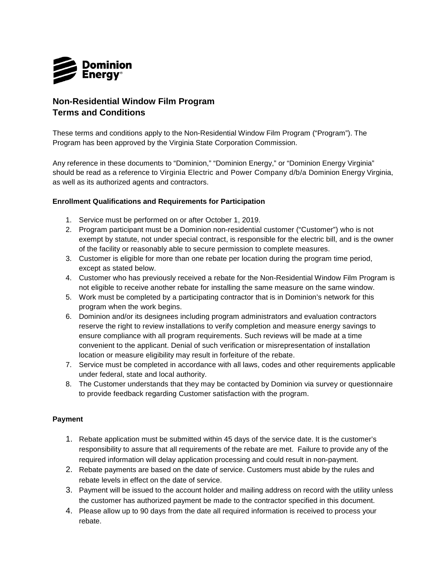

## **Non-Residential Window Film Program Terms and Conditions**

These terms and conditions apply to the Non-Residential Window Film Program ("Program"). The Program has been approved by the Virginia State Corporation Commission.

Any reference in these documents to "Dominion," "Dominion Energy," or "Dominion Energy Virginia" should be read as a reference to Virginia Electric and Power Company d/b/a Dominion Energy Virginia, as well as its authorized agents and contractors.

## **Enrollment Qualifications and Requirements for Participation**

- 1. Service must be performed on or after October 1, 2019.
- 2. Program participant must be a Dominion non-residential customer ("Customer") who is not exempt by statute, not under special contract, is responsible for the electric bill, and is the owner of the facility or reasonably able to secure permission to complete measures.
- 3. Customer is eligible for more than one rebate per location during the program time period, except as stated below.
- 4. Customer who has previously received a rebate for the Non-Residential Window Film Program is not eligible to receive another rebate for installing the same measure on the same window.
- 5. Work must be completed by a participating contractor that is in Dominion's network for this program when the work begins.
- 6. Dominion and/or its designees including program administrators and evaluation contractors reserve the right to review installations to verify completion and measure energy savings to ensure compliance with all program requirements. Such reviews will be made at a time convenient to the applicant. Denial of such verification or misrepresentation of installation location or measure eligibility may result in forfeiture of the rebate.
- 7. Service must be completed in accordance with all laws, codes and other requirements applicable under federal, state and local authority.
- 8. The Customer understands that they may be contacted by Dominion via survey or questionnaire to provide feedback regarding Customer satisfaction with the program.

## **Payment**

- 1. Rebate application must be submitted within 45 days of the service date. It is the customer's responsibility to assure that all requirements of the rebate are met. Failure to provide any of the required information will delay application processing and could result in non-payment.
- 2. Rebate payments are based on the date of service. Customers must abide by the rules and rebate levels in effect on the date of service.
- 3. Payment will be issued to the account holder and mailing address on record with the utility unless the customer has authorized payment be made to the contractor specified in this document.
- 4. Please allow up to 90 days from the date all required information is received to process your rebate.